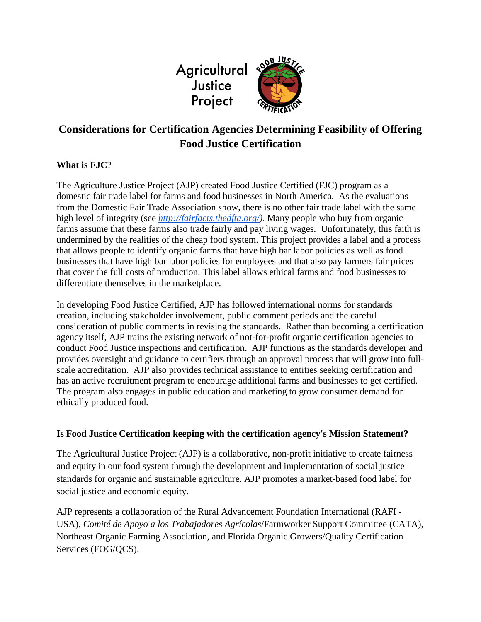

# **Considerations for Certification Agencies Determining Feasibility of Offering Food Justice Certification**

## **What is FJC**?

The Agriculture Justice Project (AJP) created Food Justice Certified (FJC) program as a domestic fair trade label for farms and food businesses in North America. As the evaluations from the Domestic Fair Trade Association show, there is no other fair trade label with the same high level of integrity (see *[http://fairfacts.thedfta.org/\)](http://fairfacts.thedfta.org/).* Many people who buy from organic farms assume that these farms also trade fairly and pay living wages. Unfortunately, this faith is undermined by the realities of the cheap food system. This project provides a label and a process that allows people to identify organic farms that have high bar labor policies as well as food businesses that have high bar labor policies for employees and that also pay farmers fair prices that cover the full costs of production. This label allows ethical farms and food businesses to differentiate themselves in the marketplace.

In developing Food Justice Certified, AJP has followed international norms for standards creation, including stakeholder involvement, public comment periods and the careful consideration of public comments in revising the standards. Rather than becoming a certification agency itself, AJP trains the existing network of not-for-profit organic certification agencies to conduct Food Justice inspections and certification. AJP functions as the standards developer and provides oversight and guidance to certifiers through an approval process that will grow into fullscale accreditation. AJP also provides technical assistance to entities seeking certification and has an active recruitment program to encourage additional farms and businesses to get certified. The program also engages in public education and marketing to grow consumer demand for ethically produced food.

## **Is Food Justice Certification keeping with the certification agency's Mission Statement?**

The Agricultural Justice Project (AJP) is a collaborative, non-profit initiative to create fairness and equity in our food system through the development and implementation of social justice standards for organic and sustainable agriculture. AJP promotes a market-based food label for social justice and economic equity.

AJP represents a collaboration of the Rural Advancement Foundation International (RAFI - USA), *Comité de Apoyo a los Trabajadores Agrícolas*/Farmworker Support Committee (CATA), Northeast Organic Farming Association, and Florida Organic Growers/Quality Certification Services (FOG/QCS).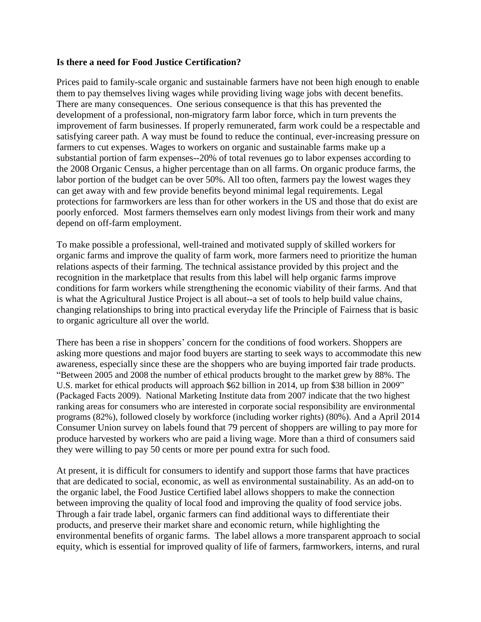#### **Is there a need for Food Justice Certification?**

Prices paid to family-scale organic and sustainable farmers have not been high enough to enable them to pay themselves living wages while providing living wage jobs with decent benefits. There are many consequences. One serious consequence is that this has prevented the development of a professional, non-migratory farm labor force, which in turn prevents the improvement of farm businesses. If properly remunerated, farm work could be a respectable and satisfying career path. A way must be found to reduce the continual, ever-increasing pressure on farmers to cut expenses. Wages to workers on organic and sustainable farms make up a substantial portion of farm expenses--20% of total revenues go to labor expenses according to the 2008 Organic Census, a higher percentage than on all farms. On organic produce farms, the labor portion of the budget can be over 50%. All too often, farmers pay the lowest wages they can get away with and few provide benefits beyond minimal legal requirements. Legal protections for farmworkers are less than for other workers in the US and those that do exist are poorly enforced. Most farmers themselves earn only modest livings from their work and many depend on off-farm employment.

To make possible a professional, well-trained and motivated supply of skilled workers for organic farms and improve the quality of farm work, more farmers need to prioritize the human relations aspects of their farming. The technical assistance provided by this project and the recognition in the marketplace that results from this label will help organic farms improve conditions for farm workers while strengthening the economic viability of their farms. And that is what the Agricultural Justice Project is all about--a set of tools to help build value chains, changing relationships to bring into practical everyday life the Principle of Fairness that is basic to organic agriculture all over the world.

There has been a rise in shoppers' concern for the conditions of food workers. Shoppers are asking more questions and major food buyers are starting to seek ways to accommodate this new awareness, especially since these are the shoppers who are buying imported fair trade products. "Between 2005 and 2008 the number of ethical products brought to the market grew by 88%. The U.S. market for ethical products will approach \$62 billion in 2014, up from \$38 billion in 2009" (Packaged Facts 2009). National Marketing Institute data from 2007 indicate that the two highest ranking areas for consumers who are interested in corporate social responsibility are environmental programs (82%), followed closely by workforce (including worker rights) (80%). And a April 2014 Consumer Union survey on labels found that 79 percent of shoppers are willing to pay more for produce harvested by workers who are paid a living wage. More than a third of consumers said they were willing to pay 50 cents or more per pound extra for such food.

At present, it is difficult for consumers to identify and support those farms that have practices that are dedicated to social, economic, as well as environmental sustainability. As an add-on to the organic label, the Food Justice Certified label allows shoppers to make the connection between improving the quality of local food and improving the quality of food service jobs. Through a fair trade label, organic farmers can find additional ways to differentiate their products, and preserve their market share and economic return, while highlighting the environmental benefits of organic farms. The label allows a more transparent approach to social equity, which is essential for improved quality of life of farmers, farmworkers, interns, and rural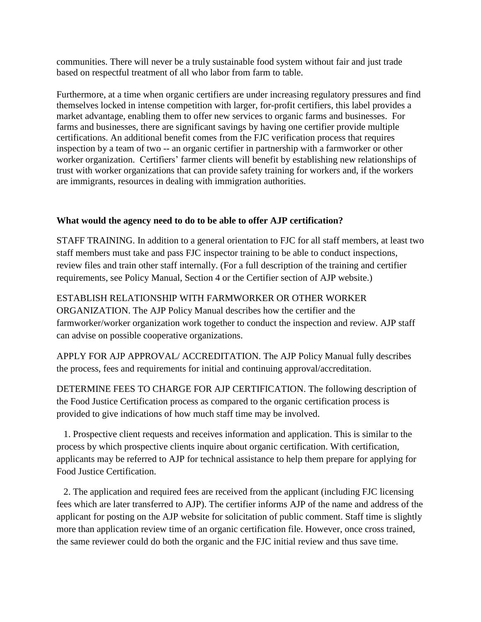communities. There will never be a truly sustainable food system without fair and just trade based on respectful treatment of all who labor from farm to table.

Furthermore, at a time when organic certifiers are under increasing regulatory pressures and find themselves locked in intense competition with larger, for-profit certifiers, this label provides a market advantage, enabling them to offer new services to organic farms and businesses. For farms and businesses, there are significant savings by having one certifier provide multiple certifications. An additional benefit comes from the FJC verification process that requires inspection by a team of two -- an organic certifier in partnership with a farmworker or other worker organization. Certifiers' farmer clients will benefit by establishing new relationships of trust with worker organizations that can provide safety training for workers and, if the workers are immigrants, resources in dealing with immigration authorities.

## **What would the agency need to do to be able to offer AJP certification?**

STAFF TRAINING. In addition to a general orientation to FJC for all staff members, at least two staff members must take and pass FJC inspector training to be able to conduct inspections, review files and train other staff internally. (For a full description of the training and certifier requirements, see Policy Manual, Section 4 or the Certifier section of AJP website.)

### ESTABLISH RELATIONSHIP WITH FARMWORKER OR OTHER WORKER

ORGANIZATION. The AJP Policy Manual describes how the certifier and the farmworker/worker organization work together to conduct the inspection and review. AJP staff can advise on possible cooperative organizations.

APPLY FOR AJP APPROVAL/ ACCREDITATION. The AJP Policy Manual fully describes the process, fees and requirements for initial and continuing approval/accreditation.

DETERMINE FEES TO CHARGE FOR AJP CERTIFICATION. The following description of the Food Justice Certification process as compared to the organic certification process is provided to give indications of how much staff time may be involved.

 1. Prospective client requests and receives information and application. This is similar to the process by which prospective clients inquire about organic certification. With certification, applicants may be referred to AJP for technical assistance to help them prepare for applying for Food Justice Certification.

 2. The application and required fees are received from the applicant (including FJC licensing fees which are later transferred to AJP). The certifier informs AJP of the name and address of the applicant for posting on the AJP website for solicitation of public comment. Staff time is slightly more than application review time of an organic certification file. However, once cross trained, the same reviewer could do both the organic and the FJC initial review and thus save time.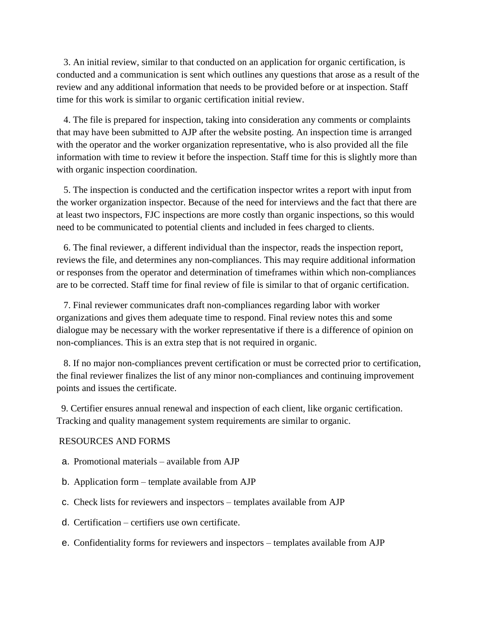3. An initial review, similar to that conducted on an application for organic certification, is conducted and a communication is sent which outlines any questions that arose as a result of the review and any additional information that needs to be provided before or at inspection. Staff time for this work is similar to organic certification initial review.

4. The file is prepared for inspection, taking into consideration any comments or complaints that may have been submitted to AJP after the website posting. An inspection time is arranged with the operator and the worker organization representative, who is also provided all the file information with time to review it before the inspection. Staff time for this is slightly more than with organic inspection coordination.

5. The inspection is conducted and the certification inspector writes a report with input from the worker organization inspector. Because of the need for interviews and the fact that there are at least two inspectors, FJC inspections are more costly than organic inspections, so this would need to be communicated to potential clients and included in fees charged to clients.

 6. The final reviewer, a different individual than the inspector, reads the inspection report, reviews the file, and determines any non-compliances. This may require additional information or responses from the operator and determination of timeframes within which non-compliances are to be corrected. Staff time for final review of file is similar to that of organic certification.

 7. Final reviewer communicates draft non-compliances regarding labor with worker organizations and gives them adequate time to respond. Final review notes this and some dialogue may be necessary with the worker representative if there is a difference of opinion on non-compliances. This is an extra step that is not required in organic.

 8. If no major non-compliances prevent certification or must be corrected prior to certification, the final reviewer finalizes the list of any minor non-compliances and continuing improvement points and issues the certificate.

 9. Certifier ensures annual renewal and inspection of each client, like organic certification. Tracking and quality management system requirements are similar to organic.

#### RESOURCES AND FORMS

- a. Promotional materials available from AJP
- b. Application form template available from AJP
- c. Check lists for reviewers and inspectors templates available from AJP
- d. Certification certifiers use own certificate.
- e. Confidentiality forms for reviewers and inspectors templates available from AJP